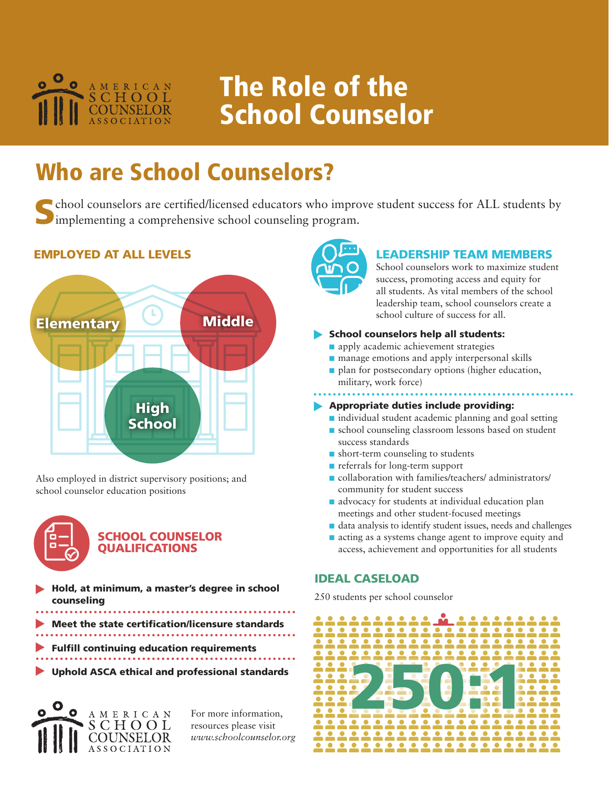

# The Role of the School Counselor

# Who are School Counselors?

School counselors are certified/licensed educators who improve student success for ALL students by implementing a comprehensive school counseling program.

# EMPLOYED AT ALL LEVELS



Also employed in district supervisory positions; and school counselor education positions



# SCHOOL COUNSELOR **OUALIFICATIONS**

- Hold, at minimum, a master's degree in school counseling
- Meet the state certification/licensure standards
- 
- Fulfill continuing education requirements
- Uphold ASCA ethical and professional standards



For more information, resources please visit *www.schoolcounselor.org*



### LEADERSHIP TEAM MEMBERS

School counselors work to maximize student success, promoting access and equity for all students. As vital members of the school leadership team, school counselors create a school culture of success for all.

### School counselors help all students:

- n apply academic achievement strategies
- manage emotions and apply interpersonal skills
- $\blacksquare$  plan for postsecondary options (higher education, military, work force)

## Appropriate duties include providing:

- $\blacksquare$  individual student academic planning and goal setting
- school counseling classroom lessons based on student success standards
- $\blacksquare$  short-term counseling to students
- n referrals for long-term support
- n collaboration with families/teachers/ administrators/ community for student success
- $\blacksquare$  advocacy for students at individual education plan meetings and other student-focused meetings
- n data analysis to identify student issues, needs and challenges
- acting as a systems change agent to improve equity and access, achievement and opportunities for all students

## IDEAL CASELOAD

250 students per school counselor